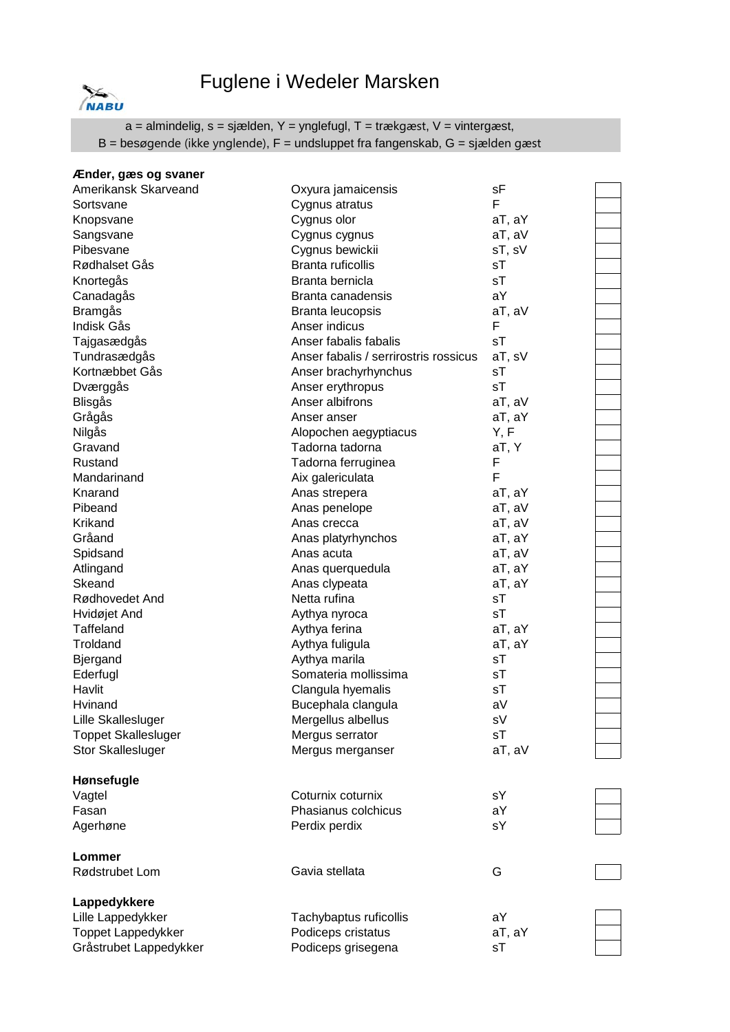## Fuglene i Wedeler Marsken



a = almindelig, s = sjælden, Y = ynglefugl, T = trækgæst, V = vintergæst, B = besøgende (ikke ynglende), F = undsluppet fra fangenskab, G = sjælden gæst

| Ænder, gæs og svaner       |                                       |        |
|----------------------------|---------------------------------------|--------|
| Amerikansk Skarveand       | Oxyura jamaicensis                    | sF     |
| Sortsvane                  | Cygnus atratus                        | F      |
| Knopsvane                  | Cygnus olor                           | aT, aY |
| Sangsvane                  | Cygnus cygnus                         | aT, aV |
| Pibesvane                  | Cygnus bewickii                       | sT, sV |
| Rødhalset Gås              | <b>Branta ruficollis</b>              | sТ     |
| Knortegås                  | Branta bernicla                       | sT     |
| Canadagås                  | Branta canadensis                     | aY     |
| <b>Bramgås</b>             | Branta leucopsis                      | aT, aV |
| Indisk Gås                 | Anser indicus                         | F      |
| Tajgasædgås                | Anser fabalis fabalis                 | sT     |
| Tundrasædgås               | Anser fabalis / serrirostris rossicus | aT, sV |
| Kortnæbbet Gås             | Anser brachyrhynchus                  | sT     |
| Dværggås                   | Anser erythropus                      | sT     |
| Blisgås                    | Anser albifrons                       | aT, aV |
| Grågås                     | Anser anser                           | aT, aY |
| Nilgås                     | Alopochen aegyptiacus                 | Y, F   |
| Gravand                    | Tadorna tadorna                       | aT, Y  |
| Rustand                    | Tadorna ferruginea                    | F      |
| Mandarinand                | Aix galericulata                      | F      |
| Knarand                    | Anas strepera                         | aT, aY |
| Pibeand                    | Anas penelope                         | aT, aV |
| Krikand                    | Anas crecca                           | aT, aV |
| Gråand                     | Anas platyrhynchos                    | aT, aY |
| Spidsand                   | Anas acuta                            | aT, aV |
| Atlingand                  | Anas querquedula                      | aT, aY |
| Skeand                     | Anas clypeata                         | aT, aY |
| Rødhovedet And             | Netta rufina                          | sT     |
| Hvidøjet And               | Aythya nyroca                         | sT     |
| Taffeland                  | Aythya ferina                         | aT, aY |
| Troldand                   | Aythya fuligula                       | aT, aY |
| <b>Bjergand</b>            | Aythya marila                         | sT     |
| Ederfugl                   | Somateria mollissima                  | sT     |
| Havlit                     | Clangula hyemalis                     | sT     |
| Hvinand                    | Bucephala clangula                    | aV     |
| Lille Skallesluger         | Mergellus albellus                    | sV     |
| <b>Toppet Skallesluger</b> | Mergus serrator                       | sT     |
| <b>Stor Skallesluger</b>   | Mergus merganser                      | aT, aV |
| Hønsefugle                 |                                       |        |
| Vagtel                     | Coturnix coturnix                     | sY     |
| Fasan                      | Phasianus colchicus                   | aY     |
| Agerhøne                   | Perdix perdix                         | sY     |
| Lommer                     |                                       |        |
| Rødstrubet Lom             | Gavia stellata                        | G      |
| Lappedykkere               |                                       |        |
| Lille Lappedykker          | Tachybaptus ruficollis                | aY     |
| Toppet Lappedykker         | Podiceps cristatus                    | aT, aY |
| Gråstrubet Lappedykker     | Podiceps grisegena                    | sT     |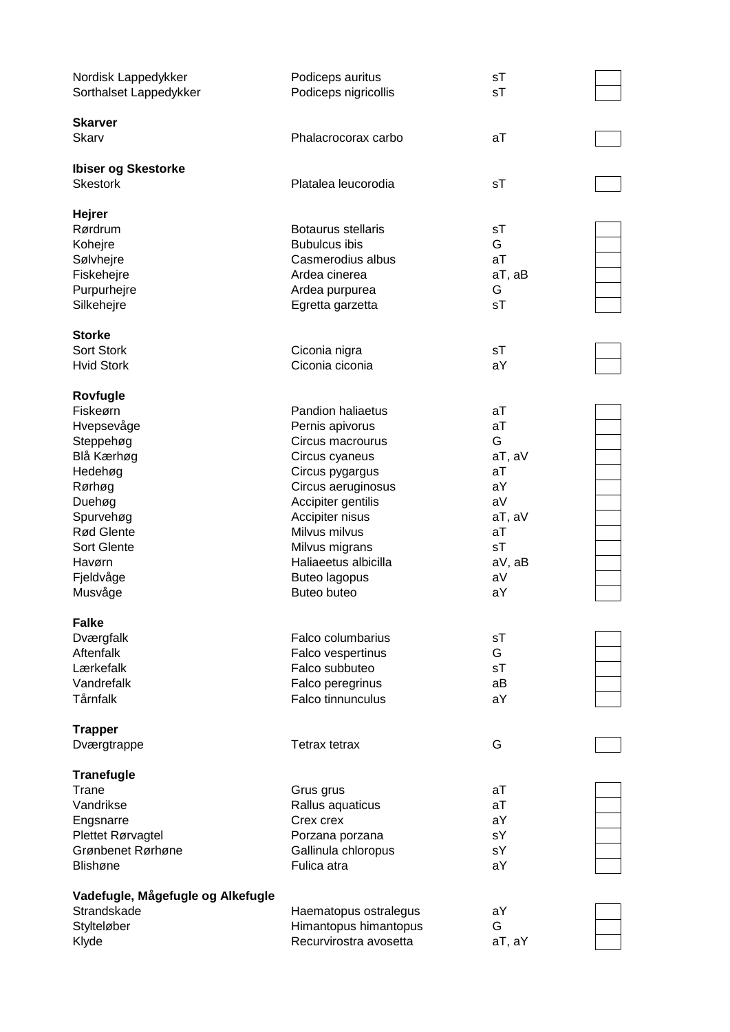| Nordisk Lappedykker<br>Sorthalset Lappedykker | Podiceps auritus<br>Podiceps nigricollis        | sT<br>sT |  |
|-----------------------------------------------|-------------------------------------------------|----------|--|
| <b>Skarver</b><br>Skarv                       | Phalacrocorax carbo                             | аT       |  |
| <b>Ibiser og Skestorke</b><br><b>Skestork</b> | Platalea leucorodia                             | sT       |  |
| <b>Hejrer</b>                                 |                                                 |          |  |
| Rørdrum                                       | Botaurus stellaris                              | sT<br>G  |  |
| Kohejre                                       | <b>Bubulcus ibis</b><br>Casmerodius albus       | аT       |  |
| Sølvhejre<br>Fiskehejre                       | Ardea cinerea                                   | aT, aB   |  |
| Purpurhejre                                   |                                                 | G        |  |
| Silkehejre                                    | Ardea purpurea<br>Egretta garzetta              | sT       |  |
| <b>Storke</b>                                 |                                                 |          |  |
| Sort Stork                                    | Ciconia nigra                                   | sT       |  |
| <b>Hvid Stork</b>                             | Ciconia ciconia                                 | aY       |  |
| Rovfugle                                      |                                                 |          |  |
| Fiskeørn                                      | Pandion haliaetus                               | аT       |  |
| Hvepsevåge                                    | Pernis apivorus                                 | aT       |  |
| Steppehøg                                     | Circus macrourus                                | G        |  |
| Blå Kærhøg                                    | Circus cyaneus                                  | aT, aV   |  |
| Hedehøg                                       | Circus pygargus                                 | аT       |  |
| Rørhøg                                        | Circus aeruginosus                              | aY       |  |
| Duehøg                                        | Accipiter gentilis                              | aV       |  |
| Spurvehøg                                     | Accipiter nisus                                 | aT, aV   |  |
| Rød Glente                                    | Milvus milvus                                   | aT       |  |
| Sort Glente                                   | Milvus migrans                                  | sT       |  |
| Havørn                                        | Haliaeetus albicilla                            | aV, aB   |  |
| Fjeldvåge                                     | <b>Buteo lagopus</b>                            | aV       |  |
| Musvåge                                       | Buteo buteo                                     | aY       |  |
| <b>Falke</b>                                  |                                                 |          |  |
| Dværgfalk                                     | <b>Falco columbarius</b>                        | sT       |  |
| Aftenfalk                                     | Falco vespertinus                               | G        |  |
| Lærkefalk                                     | Falco subbuteo                                  | sT       |  |
| Vandrefalk                                    | Falco peregrinus                                | aB       |  |
| Tårnfalk                                      | Falco tinnunculus                               | aY       |  |
| <b>Trapper</b>                                |                                                 |          |  |
| Dværgtrappe                                   | Tetrax tetrax                                   | G        |  |
| <b>Tranefugle</b>                             |                                                 |          |  |
| Trane                                         | Grus grus                                       | аT       |  |
| Vandrikse                                     | Rallus aquaticus                                | аT       |  |
| Engsnarre                                     | Crex crex                                       | aY       |  |
| Plettet Rørvagtel                             | Porzana porzana                                 | sY       |  |
| Grønbenet Rørhøne                             | Gallinula chloropus                             | sY       |  |
| Blishøne                                      | Fulica atra                                     | aY       |  |
| Vadefugle, Mågefugle og Alkefugle             |                                                 |          |  |
| Strandskade                                   | Haematopus ostralegus                           | aY       |  |
| Stylteløber                                   | Himantopus himantopus<br>Recurvirostra avosetta | G        |  |
| Klyde                                         |                                                 | aT, aY   |  |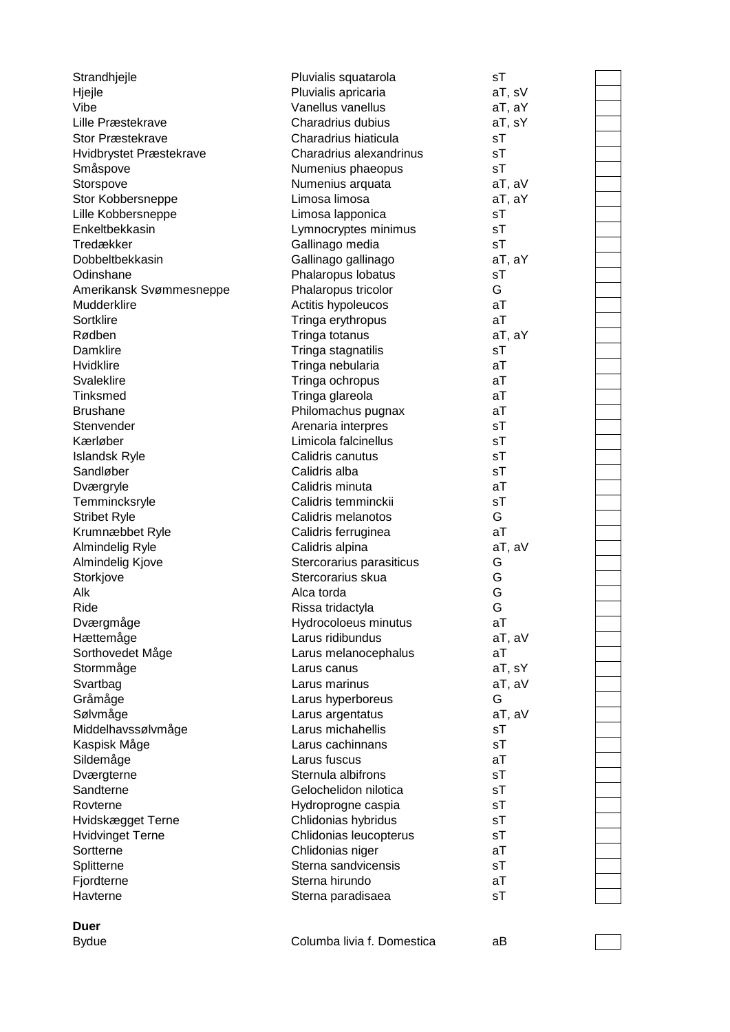| Strandhjejle                         | Pluvialis squatarola                       | sT     |  |
|--------------------------------------|--------------------------------------------|--------|--|
| Hjejle                               | Pluvialis apricaria                        | aT, sV |  |
| Vibe                                 | Vanellus vanellus                          | aT, aY |  |
| Lille Præstekrave                    | Charadrius dubius                          | aT, sY |  |
| <b>Stor Præstekrave</b>              | Charadrius hiaticula                       | sT     |  |
| Hvidbrystet Præstekrave              | Charadrius alexandrinus                    | sT     |  |
| Småspove                             | Numenius phaeopus                          | sT     |  |
| Storspove                            | Numenius arquata                           | aT, aV |  |
| Stor Kobbersneppe                    | Limosa limosa                              | aT, aY |  |
| Lille Kobbersneppe                   | Limosa lapponica                           | sT     |  |
| Enkeltbekkasin                       | Lymnocryptes minimus                       | sT     |  |
| Tredækker                            | Gallinago media                            | sT     |  |
| Dobbeltbekkasin                      | Gallinago gallinago                        | aT, aY |  |
| Odinshane                            | Phalaropus lobatus                         | sT     |  |
| Amerikansk Svømmesneppe              | Phalaropus tricolor                        | G      |  |
| Mudderklire                          | Actitis hypoleucos                         | aT     |  |
| Sortklire                            | Tringa erythropus                          | aT     |  |
| Rødben                               | Tringa totanus                             | aT, aY |  |
| Damklire                             | Tringa stagnatilis                         | sT     |  |
| Hvidklire                            | Tringa nebularia                           | aT     |  |
| Svaleklire                           | Tringa ochropus                            | aT     |  |
| <b>Tinksmed</b>                      | Tringa glareola                            | aT     |  |
| <b>Brushane</b>                      | Philomachus pugnax                         | aT     |  |
| Stenvender                           | Arenaria interpres                         | sT     |  |
| Kærløber                             | Limicola falcinellus                       | sT     |  |
| <b>Islandsk Ryle</b>                 | Calidris canutus                           | sT     |  |
| Sandløber                            | Calidris alba                              | sT     |  |
| Dværgryle                            | Calidris minuta                            | aT     |  |
| Temmincksryle                        | Calidris temminckii                        | sT     |  |
| <b>Stribet Ryle</b>                  | Calidris melanotos                         | G      |  |
| Krumnæbbet Ryle                      | Calidris ferruginea                        | aT     |  |
| Almindelig Ryle                      | Calidris alpina                            | aT, aV |  |
| Almindelig Kjove                     | Stercorarius parasiticus                   | G      |  |
| Storkjove                            | Stercorarius skua                          | G      |  |
| Alk                                  | Alca torda                                 | G      |  |
| Ride                                 | Rissa tridactyla                           | G      |  |
| Dværgmåge                            | Hydrocoloeus minutus                       | аT     |  |
| Hættemåge                            | Larus ridibundus                           | aT, aV |  |
| Sorthovedet Måge                     | Larus melanocephalus                       | aT     |  |
| Stormmåge                            | Larus canus                                | aT, sY |  |
| Svartbag                             | Larus marinus                              | aT, aV |  |
| Gråmåge                              | Larus hyperboreus                          | G      |  |
| Sølvmåge                             | Larus argentatus                           | aT, aV |  |
| Middelhavssølvmåge                   | Larus michahellis                          | sT     |  |
| Kaspisk Måge                         | Larus cachinnans                           | sT     |  |
| Sildemåge                            | Larus fuscus                               | aT     |  |
| Dværgterne                           | Sternula albifrons                         | sT     |  |
| Sandterne                            | Gelochelidon nilotica                      | sT     |  |
| Rovterne                             | Hydroprogne caspia                         | sT     |  |
| Hvidskægget Terne                    | Chlidonias hybridus                        | sT     |  |
|                                      |                                            | sT     |  |
| <b>Hvidvinget Terne</b><br>Sortterne | Chlidonias leucopterus<br>Chlidonias niger | aT     |  |
|                                      | Sterna sandvicensis                        | sT     |  |
| Splitterne                           | Sterna hirundo                             | aT     |  |
| Fjordterne                           |                                            |        |  |
| Havterne                             | Sterna paradisaea                          | sT     |  |
|                                      |                                            |        |  |
| <b>Duer</b>                          |                                            |        |  |
| <b>Bydue</b>                         | Columba livia f. Domestica                 | аB     |  |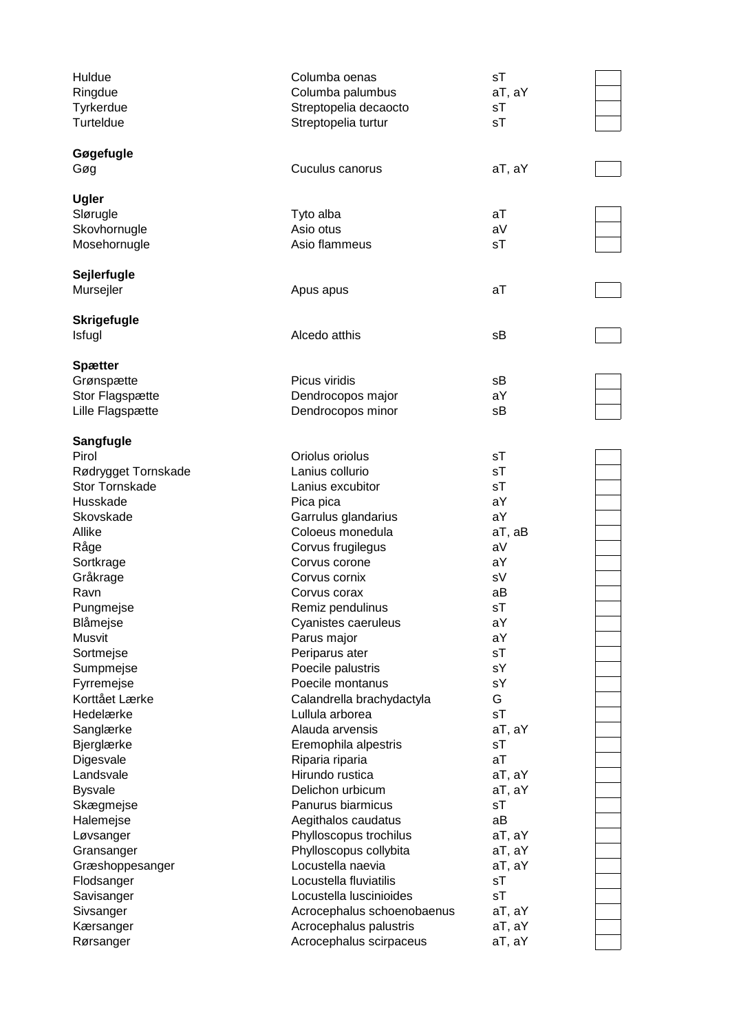| Huldue<br>Ringdue                     | Columba oenas<br>Columba palumbus            | sT<br>aT, aY |  |
|---------------------------------------|----------------------------------------------|--------------|--|
| Tyrkerdue<br>Turteldue                | Streptopelia decaocto<br>Streptopelia turtur | sT<br>sT     |  |
| Gøgefugle                             |                                              |              |  |
| Gøg                                   | Cuculus canorus                              | aT, aY       |  |
| <b>Ugler</b>                          |                                              |              |  |
| Slørugle                              | Tyto alba                                    | aT           |  |
| Skovhornugle                          | Asio otus                                    | aV           |  |
| Mosehornugle                          | Asio flammeus                                | sT           |  |
| Sejlerfugle                           |                                              |              |  |
| Mursejler                             | Apus apus                                    | aT           |  |
| <b>Skrigefugle</b><br>Isfugl          | Alcedo atthis                                | sΒ           |  |
|                                       |                                              |              |  |
| <b>Spætter</b>                        |                                              |              |  |
| Grønspætte                            | Picus viridis                                | sB           |  |
| Stor Flagspætte                       | Dendrocopos major                            | aY           |  |
| Lille Flagspætte                      | Dendrocopos minor                            | sB           |  |
| <b>Sangfugle</b>                      |                                              |              |  |
| Pirol                                 | Oriolus oriolus                              | sT<br>sT     |  |
| Rødrygget Tornskade<br>Stor Tornskade | Lanius collurio                              | sT           |  |
| Husskade                              | Lanius excubitor                             | aY           |  |
|                                       | Pica pica                                    | aY           |  |
| Skovskade<br>Allike                   | Garrulus glandarius<br>Coloeus monedula      | aT, aB       |  |
|                                       |                                              | aV           |  |
| Råge                                  | Corvus frugilegus<br>Corvus corone           | aY           |  |
| Sortkrage<br>Gråkrage                 | Corvus cornix                                | sV           |  |
| Ravn                                  | Corvus corax                                 | аB           |  |
| Pungmejse                             | Remiz pendulinus                             | sT           |  |
| Blåmejse                              | Cyanistes caeruleus                          | aY           |  |
| Musvit                                | Parus major                                  | aY           |  |
| Sortmejse                             | Periparus ater                               | sT           |  |
| Sumpmejse                             | Poecile palustris                            | sY           |  |
| Fyrremejse                            | Poecile montanus                             | sY           |  |
| Korttået Lærke                        | Calandrella brachydactyla                    | G            |  |
| Hedelærke                             | Lullula arborea                              | sT           |  |
| Sanglærke                             | Alauda arvensis                              | aT, aY       |  |
| Bjerglærke                            | Eremophila alpestris                         | sT           |  |
| Digesvale                             | Riparia riparia                              | aT           |  |
| Landsvale                             | Hirundo rustica                              | aT, aY       |  |
| <b>Bysvale</b>                        | Delichon urbicum                             | aT, aY       |  |
| Skægmejse                             | Panurus biarmicus                            | sT           |  |
| Halemejse                             | Aegithalos caudatus                          | aB           |  |
| Løvsanger                             | Phylloscopus trochilus                       | aT, aY       |  |
| Gransanger                            | Phylloscopus collybita                       | aT, aY       |  |
| Græshoppesanger                       | Locustella naevia                            | aT, aY       |  |
| Flodsanger                            | Locustella fluviatilis                       | sT           |  |
| Savisanger                            | Locustella luscinioides                      | sT           |  |
| Sivsanger                             | Acrocephalus schoenobaenus                   | aT, aY       |  |
| Kærsanger                             | Acrocephalus palustris                       | aT, aY       |  |
| Rørsanger                             | Acrocephalus scirpaceus                      | aT, aY       |  |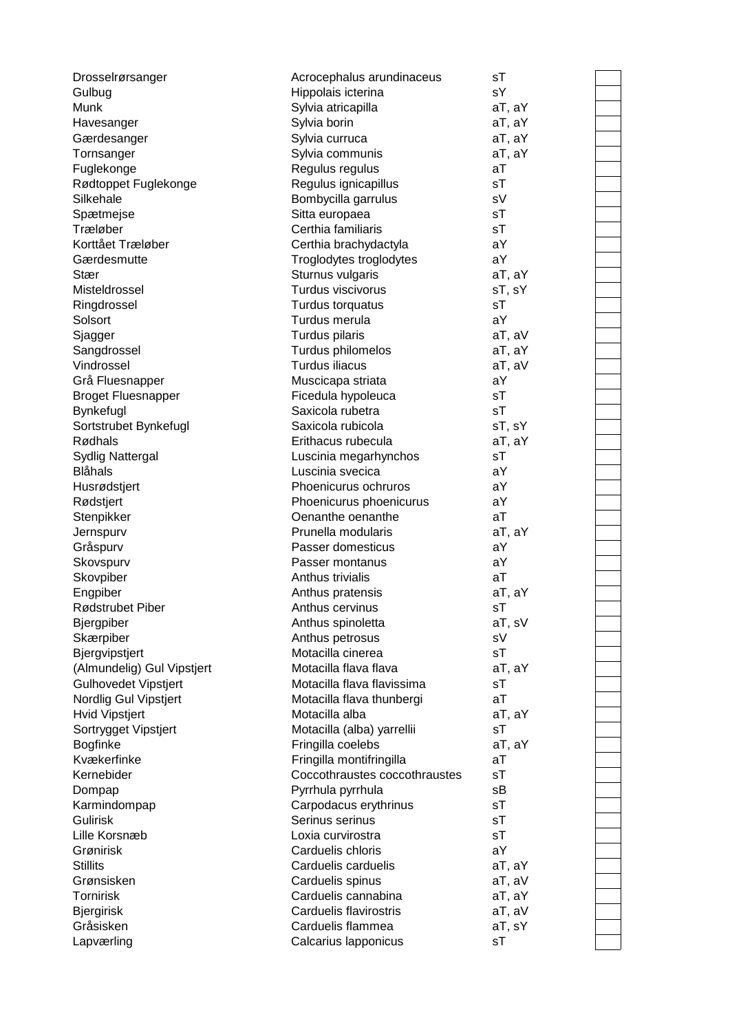| Drosselrørsanger            | Acrocephalus arundinaceus     | sT     |  |
|-----------------------------|-------------------------------|--------|--|
| Gulbug                      | Hippolais icterina            | sY     |  |
| Munk                        | Sylvia atricapilla            | aT, aY |  |
| Havesanger                  | Sylvia borin                  | aT, aY |  |
| Gærdesanger                 | Sylvia curruca                | aT, aY |  |
| Tornsanger                  | Sylvia communis               | aT, aY |  |
| Fuglekonge                  | Regulus regulus               | aT     |  |
| Rødtoppet Fuglekonge        | Regulus ignicapillus          | sT     |  |
| Silkehale                   | Bombycilla garrulus           | sV     |  |
| Spætmejse                   | Sitta europaea                | sT     |  |
| Træløber                    | Certhia familiaris            | sT     |  |
| Korttået Træløber           | Certhia brachydactyla         | aY     |  |
| Gærdesmutte                 | Troglodytes troglodytes       | aY     |  |
| Stær                        | Sturnus vulgaris              | aT, aY |  |
| Misteldrossel               | Turdus viscivorus             | sT, sY |  |
| Ringdrossel                 | Turdus torquatus              | sT     |  |
| Solsort                     | Turdus merula                 | aY     |  |
|                             | Turdus pilaris                | aT, aV |  |
| Sjagger                     |                               |        |  |
| Sangdrossel                 | Turdus philomelos             | aT, aY |  |
| Vindrossel                  | Turdus iliacus                | aT, aV |  |
| Grå Fluesnapper             | Muscicapa striata             | aY     |  |
| <b>Broget Fluesnapper</b>   | Ficedula hypoleuca            | sT     |  |
| Bynkefugl                   | Saxicola rubetra              | sT     |  |
| Sortstrubet Bynkefugl       | Saxicola rubicola             | sT, sY |  |
| Rødhals                     | Erithacus rubecula            | aT, aY |  |
| <b>Sydlig Nattergal</b>     | Luscinia megarhynchos         | sT     |  |
| <b>Blåhals</b>              | Luscinia svecica              | aY     |  |
| Husrødstjert                | Phoenicurus ochruros          | aY     |  |
| Rødstjert                   | Phoenicurus phoenicurus       | aY     |  |
| Stenpikker                  | Oenanthe oenanthe             | aT     |  |
| Jernspurv                   | Prunella modularis            | aT, aY |  |
| Gråspurv                    | Passer domesticus             | aY     |  |
| Skovspurv                   | Passer montanus               | aY     |  |
| Skovpiber                   | Anthus trivialis              | aT     |  |
| Engpiber                    | Anthus pratensis              | aT, aY |  |
| Rødstrubet Piber            | Anthus cervinus               | sT     |  |
| <b>Bjergpiber</b>           | Anthus spinoletta             | aT, sV |  |
| Skærpiber                   | Anthus petrosus               | sV     |  |
| Bjergvipstjert              | Motacilla cinerea             | sT     |  |
| (Almundelig) Gul Vipstjert  | Motacilla flava flava         | aT, aY |  |
| <b>Gulhovedet Vipstjert</b> | Motacilla flava flavissima    | sT     |  |
| Nordlig Gul Vipstjert       | Motacilla flava thunbergi     | aT     |  |
| <b>Hvid Vipstjert</b>       | Motacilla alba                | aT, aY |  |
| Sortrygget Vipstjert        | Motacilla (alba) yarrellii    | sT     |  |
| <b>Bogfinke</b>             | Fringilla coelebs             | aT, aY |  |
| Kvækerfinke                 | Fringilla montifringilla      | aT     |  |
| Kernebider                  | Coccothraustes coccothraustes | sT     |  |
| Dompap                      | Pyrrhula pyrrhula             | sB     |  |
| Karmindompap                | Carpodacus erythrinus         | sT     |  |
| <b>Gulirisk</b>             | Serinus serinus               | sT     |  |
| Lille Korsnæb               | Loxia curvirostra             | sT     |  |
|                             |                               |        |  |
| Grønirisk                   | Carduelis chloris             | aY     |  |
| <b>Stillits</b>             | Carduelis carduelis           | aT, aY |  |
| Grønsisken                  | Carduelis spinus              | aT, aV |  |
| <b>Tornirisk</b>            | Carduelis cannabina           | aT, aY |  |
| <b>Bjergirisk</b>           | Carduelis flavirostris        | aT, aV |  |
| Gråsisken                   | Carduelis flammea             | aT, sY |  |
| Lapværling                  | Calcarius Iapponicus          | sT     |  |